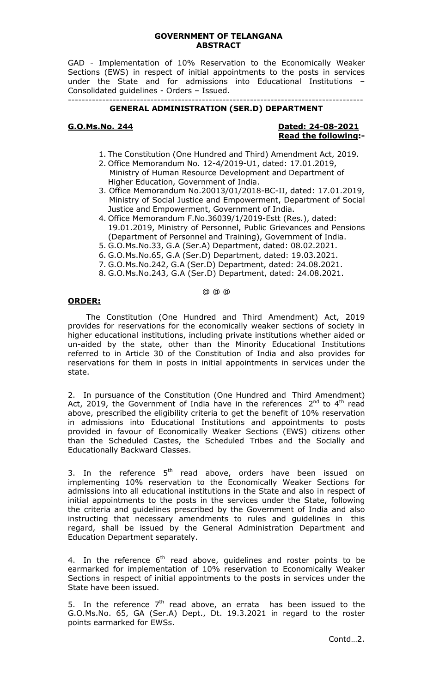#### **GOVERNMENT OF TELANGANA ABSTRACT**

GAD - Implementation of 10% Reservation to the Economically Weaker Sections (EWS) in respect of initial appointments to the posts in services under the State and for admissions into Educational Institutions – Consolidated guidelines - Orders – Issued. --------------------------------------------------------------------------------------

### **GENERAL ADMINISTRATION (SER.D) DEPARTMENT**

## **G.O.Ms.No. 244 Dated: 24-08-2021 Read the following:-**

- 1. The Constitution (One Hundred and Third) Amendment Act, 2019.
- 2. Office Memorandum No. 12-4/2019-U1, dated: 17.01.2019, Ministry of Human Resource Development and Department of Higher Education, Government of India.
- 3. Office Memorandum No.20013/01/2018-BC-II, dated: 17.01.2019, Ministry of Social Justice and Empowerment, Department of Social Justice and Empowerment, Government of India.
- 4. Office Memorandum F.No.36039/1/2019-Estt (Res.), dated: 19.01.2019, Ministry of Personnel, Public Grievances and Pensions (Department of Personnel and Training), Government of India.
- 5. G.O.Ms.No.33, G.A (Ser.A) Department, dated: 08.02.2021.
- 6. G.O.Ms.No.65, G.A (Ser.D) Department, dated: 19.03.2021.
- 7. G.O.Ms.No.242, G.A (Ser.D) Department, dated: 24.08.2021.
- 8. G.O.Ms.No.243, G.A (Ser.D) Department, dated: 24.08.2021.

### @ @ @

#### **ORDER:**

The Constitution (One Hundred and Third Amendment) Act, 2019 provides for reservations for the economically weaker sections of society in higher educational institutions, including private institutions whether aided or un-aided by the state, other than the Minority Educational Institutions referred to in Article 30 of the Constitution of India and also provides for reservations for them in posts in initial appointments in services under the state.

2. In pursuance of the Constitution (One Hundred and Third Amendment) Act, 2019, the Government of India have in the references  $2^{nd}$  to  $4^{th}$  read above, prescribed the eligibility criteria to get the benefit of 10% reservation in admissions into Educational Institutions and appointments to posts provided in favour of Economically Weaker Sections (EWS) citizens other than the Scheduled Castes, the Scheduled Tribes and the Socially and Educationally Backward Classes.

3. In the reference  $5<sup>th</sup>$  read above, orders have been issued on implementing 10% reservation to the Economically Weaker Sections for admissions into all educational institutions in the State and also in respect of initial appointments to the posts in the services under the State, following the criteria and guidelines prescribed by the Government of India and also instructing that necessary amendments to rules and guidelines in this regard, shall be issued by the General Administration Department and Education Department separately.

4. In the reference  $6<sup>th</sup>$  read above, guidelines and roster points to be earmarked for implementation of 10% reservation to Economically Weaker Sections in respect of initial appointments to the posts in services under the State have been issued.

5. In the reference  $7<sup>th</sup>$  read above, an errata has been issued to the G.O.Ms.No. 65, GA (Ser.A) Dept., Dt. 19.3.2021 in regard to the roster points earmarked for EWSs.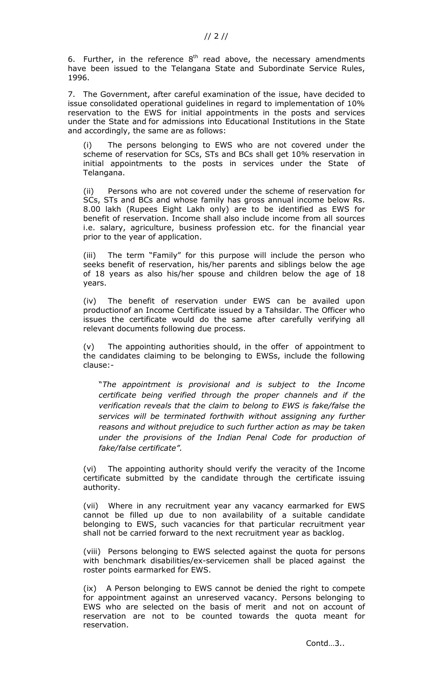6. Further, in the reference  $8<sup>th</sup>$  read above, the necessary amendments have been issued to the Telangana State and Subordinate Service Rules, 1996.

7. The Government, after careful examination of the issue, have decided to issue consolidated operational guidelines in regard to implementation of 10% reservation to the EWS for initial appointments in the posts and services under the State and for admissions into Educational Institutions in the State and accordingly, the same are as follows:

The persons belonging to EWS who are not covered under the scheme of reservation for SCs, STs and BCs shall get 10% reservation in initial appointments to the posts in services under the State of Telangana.

(ii) Persons who are not covered under the scheme of reservation for SCs, STs and BCs and whose family has gross annual income below Rs. 8.00 lakh (Rupees Eight Lakh only) are to be identified as EWS for benefit of reservation. Income shall also include income from all sources i.e. salary, agriculture, business profession etc. for the financial year prior to the year of application.

(iii) The term "Family" for this purpose will include the person who seeks benefit of reservation, his/her parents and siblings below the age of 18 years as also his/her spouse and children below the age of 18 years.

(iv) The benefit of reservation under EWS can be availed upon production of an Income Certificate issued by a Tahsildar. The Officer who issues the certificate would do the same after carefully verifying all relevant documents following due process.

(v) The appointing authorities should, in the offer of appointment to the candidates claiming to be belonging to EWSs, include the following clause:-

"*The appointment is provisional and is subject to the Income certificate being verified through the proper channels and if the verification reveals that the claim to belong to EWS is fake/false the services will be terminated forthwith without assigning any further reasons and without prejudice to such further action as may be taken under the provisions of the Indian Penal Code for production of fake/false certificate".* 

(vi) The appointing authority should verify the veracity of the Income certificate submitted by the candidate through the certificate issuing authority.

(vii) Where in any recruitment year any vacancy earmarked for EWS cannot be filled up due to non availability of a suitable candidate belonging to EWS, such vacancies for that particular recruitment year shall not be carried forward to the next recruitment year as backlog.

(viii) Persons belonging to EWS selected against the quota for persons with benchmark disabilities/ex-servicemen shall be placed against the roster points earmarked for EWS.

(ix) A Person belonging to EWS cannot be denied the right to compete for appointment against an unreserved vacancy. Persons belonging to EWS who are selected on the basis of merit and not on account of reservation are not to be counted towards the quota meant for reservation.